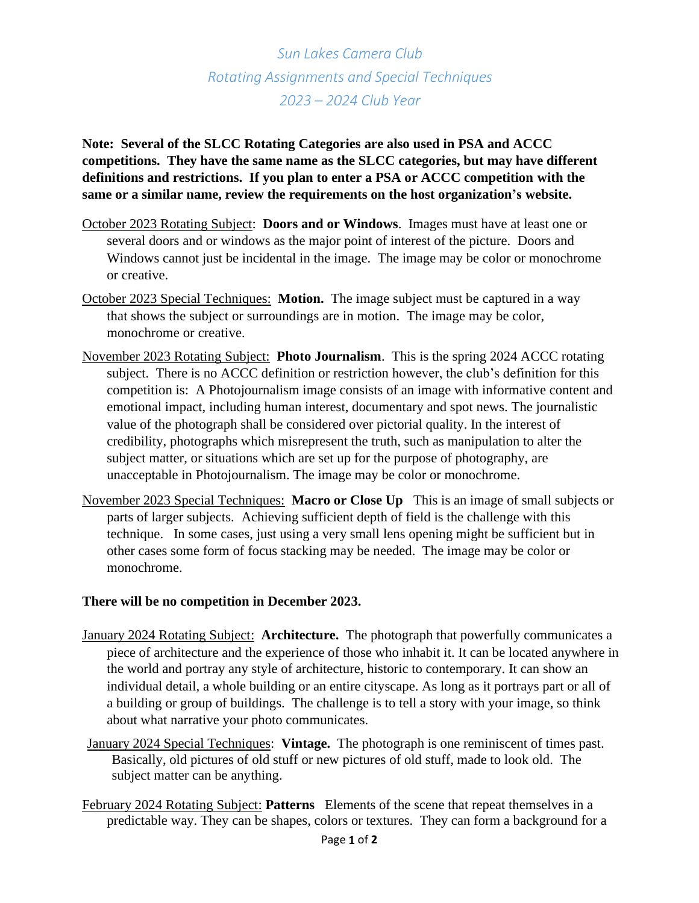## *Sun Lakes Camera Club Rotating Assignments and Special Techniques 2023 – 2024 Club Year*

**Note: Several of the SLCC Rotating Categories are also used in PSA and ACCC competitions. They have the same name as the SLCC categories, but may have different definitions and restrictions. If you plan to enter a PSA or ACCC competition with the same or a similar name, review the requirements on the host organization's website.**

- October 2023 Rotating Subject: **Doors and or Windows**. Images must have at least one or several doors and or windows as the major point of interest of the picture. Doors and Windows cannot just be incidental in the image. The image may be color or monochrome or creative.
- October 2023 Special Techniques: **Motion.** The image subject must be captured in a way that shows the subject or surroundings are in motion. The image may be color, monochrome or creative.
- November 2023 Rotating Subject: **Photo Journalism**. This is the spring 2024 ACCC rotating subject. There is no ACCC definition or restriction however, the club's definition for this competition is: A Photojournalism image consists of an image with informative content and emotional impact, including human interest, documentary and spot news. The journalistic value of the photograph shall be considered over pictorial quality. In the interest of credibility, photographs which misrepresent the truth, such as manipulation to alter the subject matter, or situations which are set up for the purpose of photography, are unacceptable in Photojournalism. The image may be color or monochrome.
- November 2023 Special Techniques: **Macro or Close Up** This is an image of small subjects or parts of larger subjects. Achieving sufficient depth of field is the challenge with this technique. In some cases, just using a very small lens opening might be sufficient but in other cases some form of focus stacking may be needed. The image may be color or monochrome.

## **There will be no competition in December 2023.**

- January 2024 Rotating Subject: **Architecture.** The photograph that powerfully communicates a piece of architecture and the experience of those who inhabit it. It can be located anywhere in the world and portray any style of architecture, historic to contemporary. It can show an individual detail, a whole building or an entire cityscape. As long as it portrays part or all of a building or group of buildings. The challenge is to tell a story with your image, so think about what narrative your photo communicates.
- January 2024 Special Techniques: **Vintage.** The photograph is one reminiscent of times past. Basically, old pictures of old stuff or new pictures of old stuff, made to look old. The subject matter can be anything.
- February 2024 Rotating Subject: **Patterns** Elements of the scene that repeat themselves in a predictable way. They can be shapes, colors or textures. They can form a background for a